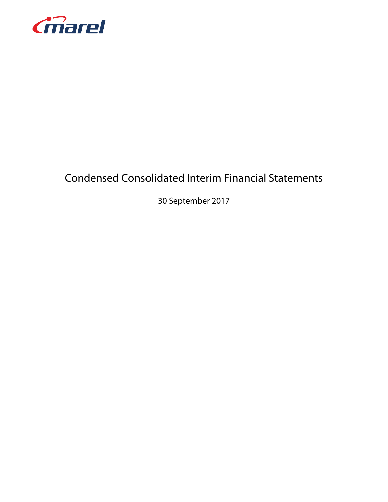

# Condensed Consolidated Interim Financial Statements

30 September 2017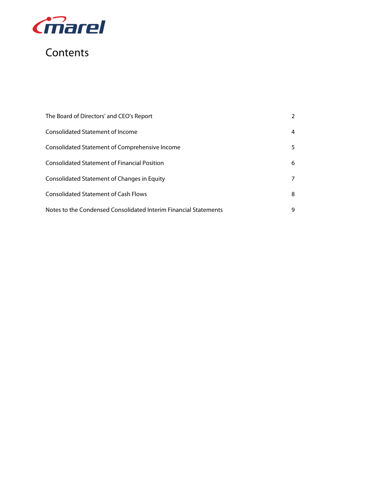

# Contents

| The Board of Directors' and CEO's Report                         | 2 |
|------------------------------------------------------------------|---|
| <b>Consolidated Statement of Income</b>                          | 4 |
| Consolidated Statement of Comprehensive Income                   | 5 |
| <b>Consolidated Statement of Financial Position</b>              | 6 |
| Consolidated Statement of Changes in Equity                      | 7 |
| <b>Consolidated Statement of Cash Flows</b>                      | 8 |
| Notes to the Condensed Consolidated Interim Financial Statements | 9 |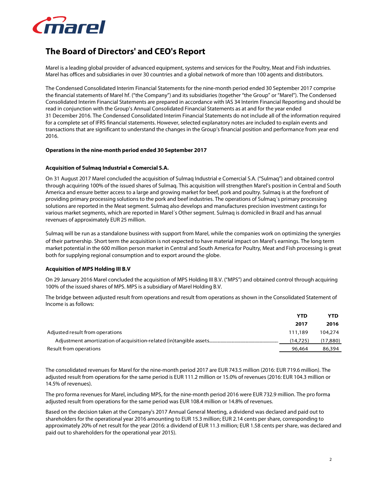

### **The Board of Directors' and CEO's Report**

Marel is a leading global provider of advanced equipment, systems and services for the Poultry, Meat and Fish industries. Marel has offices and subsidiaries in over 30 countries and a global network of more than 100 agents and distributors.

The Condensed Consolidated Interim Financial Statements for the nine-month period ended 30 September 2017 comprise the financial statements of Marel hf. ("the Company") and its subsidiaries (together "the Group" or "Marel"). The Condensed Consolidated Interim Financial Statements are prepared in accordance with IAS 34 Interim Financial Reporting and should be read in conjunction with the Group's Annual Consolidated Financial Statements as at and for the year ended 31 December 2016. The Condensed Consolidated Interim Financial Statements do not include all of the information required for a complete set of IFRS financial statements. However, selected explanatory notes are included to explain events and transactions that are significant to understand the changes in the Group's financial position and performance from year end 2016.

#### **Operations in the nine-month period ended 30 September 2017**

#### **Acquisition of Sulmaq Industrial e Comercial S.A.**

On 31 August 2017 Marel concluded the acquisition of Sulmaq Industrial e Comercial S.A. ("Sulmaq") and obtained control through acquiring 100% of the issued shares of Sulmaq. This acquisition will strengthen Marel's position in Central and South America and ensure better access to a large and growing market for beef, pork and poultry. Sulmaq is at the forefront of providing primary processing solutions to the pork and beef industries. The operations of Sulmaq´s primary processing solutions are reported in the Meat segment. Sulmaq also develops and manufactures precision investment castings for various market segments, which are reported in Marel´s Other segment. Sulmaq is domiciled in Brazil and has annual revenues of approximately EUR 25 million.

Sulmaq will be run as a standalone business with support from Marel, while the companies work on optimizing the synergies of their partnership. Short term the acquisition is not expected to have material impact on Marel's earnings. The long term market potential in the 600 million person market in Central and South America for Poultry, Meat and Fish processing is great both for supplying regional consumption and to export around the globe.

#### **Acquisition of MPS Holding III B.V**

On 29 January 2016 Marel concluded the acquisition of MPS Holding III B.V. ("MPS") and obtained control through acquiring 100% of the issued shares of MPS. MPS is a subsidiary of Marel Holding B.V.

The bridge between adjusted result from operations and result from operations as shown in the Consolidated Statement of Income is as follows:

|                                 | YTD      | <b>YTD</b> |
|---------------------------------|----------|------------|
|                                 | 2017     | 2016       |
| Adjusted result from operations | 111.189  | 104,274    |
|                                 | (14.725) | (17,880)   |
| Result from operations          | 96.464   | 86,394     |

The consolidated revenues for Marel for the nine-month period 2017 are EUR 743.5 million (2016: EUR 719.6 million). The adjusted result from operations for the same period is EUR 111.2 million or 15.0% of revenues (2016: EUR 104.3 million or 14.5% of revenues).

The pro forma revenues for Marel, including MPS, for the nine-month period 2016 were EUR 732.9 million. The pro forma adjusted result from operations for the same period was EUR 108.4 million or 14.8% of revenues.

Based on the decision taken at the Company's 2017 Annual General Meeting, a dividend was declared and paid out to shareholders for the operational year 2016 amounting to EUR 15.3 million; EUR 2.14 cents per share, corresponding to approximately 20% of net result for the year (2016: a dividend of EUR 11.3 million; EUR 1.58 cents per share, was declared and paid out to shareholders for the operational year 2015).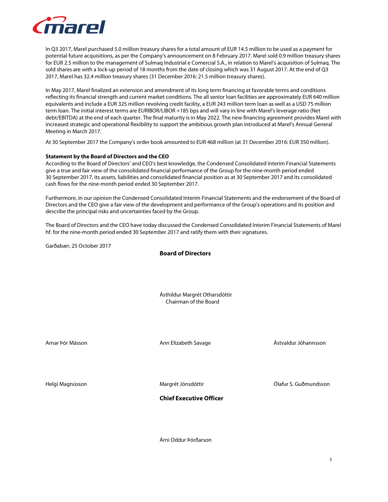

In Q3 2017, Marel purchased 5.0 million treasury shares for a total amount of EUR 14.5 million to be used as a payment for potential future acquisitions, as per the Company's announcement on 8 February 2017. Marel sold 0.9 million treasury shares for EUR 2.5 million to the management of Sulmaq Industrial e Comercial S.A., in relation to Marel's acquisition of Sulmaq. The sold shares are with a lock-up period of 18 months from the date of closing which was 31 August 2017. At the end of Q3 2017, Marel has 32.4 million treasury shares (31 December 2016: 21.5 million treasury shares).

In May 2017, Marel finalized an extension and amendment of its long term financing at favorable terms and conditions reflecting its financial strength and current market conditions. The all senior loan facilities are approximately EUR 640 million equivalents and include a EUR 325 million revolving credit facility, a EUR 243 million term loan as well as a USD 75 million term loan. The initial interest terms are EURIBOR/LIBOR +185 bps and will vary in line with Marel's leverage ratio (Net debt/EBITDA) at the end of each quarter. The final maturity is in May 2022. The new financing agreement provides Marel with increased strategic and operational flexibility to support the ambitious growth plan introduced at Marel's Annual General Meeting in March 2017.

At 30 September 2017 the Company's order book amounted to EUR 468 million (at 31 December 2016: EUR 350 million).

#### **Statement by the Board of Directors and the CEO**

According to the Board of Directors' and CEO's best knowledge, the Condensed Consolidated Interim Financial Statements give a true and fair view of the consolidated financial performance of the Group for the nine-month period ended 30 September 2017, its assets, liabilities and consolidated financial position as at 30 September 2017 and its consolidated cash flows for the nine-month period ended 30 September 2017.

Furthermore, in our opinion the Condensed Consolidated Interim Financial Statements and the endorsement of the Board of Directors and the CEO give a fair view of the development and performance of the Group's operations and its position and describe the principal risks and uncertainties faced by the Group.

The Board of Directors and the CEO have today discussed the Condensed Consolidated Interim Financial Statements of Marel hf. for the nine-month period ended 30 September 2017 and ratify them with their signatures.

Garðabær, 25 October 2017

### **Board of Directors**

Ásthildur Margrét Otharsdóttir Chairman of the Board

Arnar Þór Másson Ann Elizabeth Savage Ástvaldur Jóhannsson

Helgi Magnússon Margrét Jónsdóttir Ólafur S. Guðmundsson

### **Chief Executive Officer**

Árni Oddur Þórðarson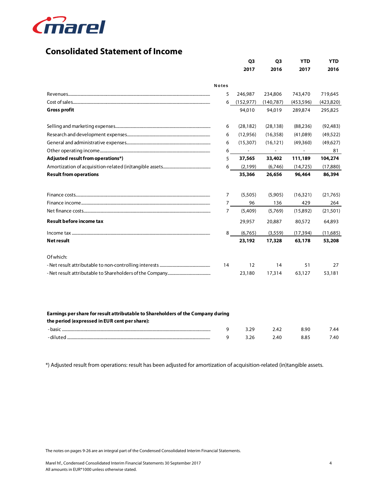

### **Consolidated Statement of Income**

|                                   |              | Q3                       | Q3         | <b>YTD</b> | <b>YTD</b> |
|-----------------------------------|--------------|--------------------------|------------|------------|------------|
|                                   |              | 2017                     | 2016       | 2017       | 2016       |
|                                   | <b>Notes</b> |                          |            |            |            |
|                                   | 5            | 246,987                  | 234,806    | 743,470    | 719,645    |
|                                   | 6            | (152, 977)               | (140, 787) | (453, 596) | (423, 820) |
| <b>Gross profit</b>               |              | 94,010                   | 94,019     | 289,874    | 295,825    |
|                                   | 6            | (28, 182)                | (28, 138)  | (88, 236)  | (92, 483)  |
|                                   | 6            | (12,956)                 | (16,358)   | (41,089)   | (49, 522)  |
|                                   | 6            | (15,307)                 | (16, 121)  | (49,360)   | (49,627)   |
|                                   | 6            | $\overline{\phantom{a}}$ |            |            | 81         |
| Adjusted result from operations*) | 5            | 37,565                   | 33,402     | 111,189    | 104,274    |
|                                   | 6            | (2, 199)                 | (6,746)    | (14, 725)  | (17, 880)  |
| <b>Result from operations</b>     |              | 35,366                   | 26,656     | 96,464     | 86,394     |
|                                   | 7            | (5,505)                  | (5,905)    | (16,321)   | (21,765)   |
|                                   | 7            | 96                       | 136        | 429        | 264        |
|                                   | 7            | (5,409)                  | (5,769)    | (15,892)   | (21, 501)  |
| <b>Result before income tax</b>   |              | 29,957                   | 20,887     | 80,572     | 64.893     |
|                                   | 8            | (6,765)                  | (3,559)    | (17, 394)  | (11,685)   |
| <b>Net result</b>                 |              | 23,192                   | 17,328     | 63,178     | 53,208     |
| Of which:                         |              |                          |            |            |            |
|                                   | 14           | 12                       | 14         | 51         | 27         |
|                                   |              | 23,180                   | 17,314     | 63,127     | 53,181     |

### - basic ............................................................................................................................................................... 9 3.29 2.42 8.90 7.44 - diluted ......................................................................................................................................................... 9 3.26 2.40 8.85 7.40 **Earnings per share for result attributable to Shareholders of the Company during the period (expressed in EUR cent per share):**

\*) Adjusted result from operations: result has been adjusted for amortization of acquisition-related (in)tangible assets.

The notes on pages 9-26 are an integral part of the Condensed Consolidated Interim Financial Statements.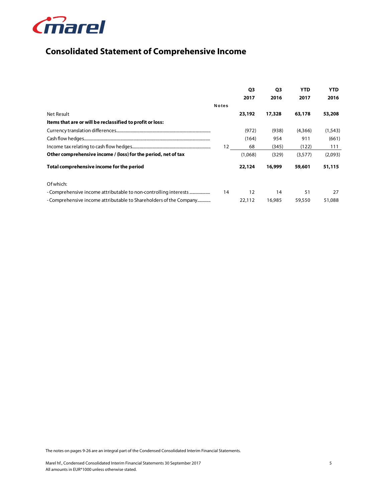

# **Consolidated Statement of Comprehensive Income**

|                                                                    |              | Q <sub>3</sub> | Q <sub>3</sub> | <b>YTD</b> | <b>YTD</b> |
|--------------------------------------------------------------------|--------------|----------------|----------------|------------|------------|
|                                                                    |              | 2017           | 2016           | 2017       | 2016       |
|                                                                    | <b>Notes</b> |                |                |            |            |
| Net Result                                                         |              | 23,192         | 17,328         | 63,178     | 53,208     |
| Items that are or will be reclassified to profit or loss:          |              |                |                |            |            |
|                                                                    |              | (972)          | (938)          | (4,366)    | (1,543)    |
|                                                                    |              | (164)          | 954            | 911        | (661)      |
|                                                                    | 12           | 68             | (345)          | (122)      | 111        |
| Other comprehensive income / (loss) for the period, net of tax     |              | (1,068)        | (329)          | (3,577)    | (2,093)    |
| Total comprehensive income for the period                          |              | 22,124         | 16,999         | 59,601     | 51,115     |
| Of which:                                                          |              |                |                |            |            |
|                                                                    | 14           | 12             | 14             | 51         | 27         |
| - Comprehensive income attributable to Shareholders of the Company |              | 22,112         | 16,985         | 59,550     | 51,088     |

The notes on pages 9-26 are an integral part of the Condensed Consolidated Interim Financial Statements.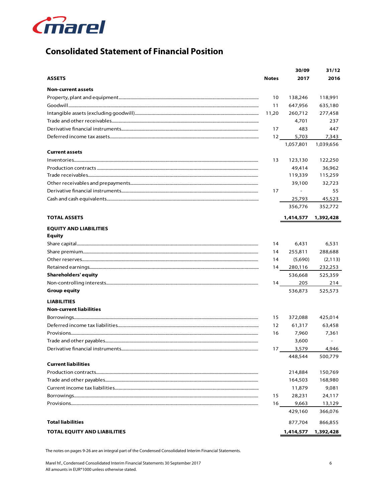

# **Consolidated Statement of Financial Position**

|                                     |              | 30/09       | 31/12                    |
|-------------------------------------|--------------|-------------|--------------------------|
| <b>ASSETS</b>                       | <b>Notes</b> | 2017        | 2016                     |
| <b>Non-current assets</b>           |              |             |                          |
|                                     | 10           | 138,246     | 118,991                  |
|                                     | 11           | 647,956     | 635,180                  |
|                                     | 11,20        | 260,712     | 277,458                  |
|                                     |              | 4,701       | 237                      |
|                                     | 17           | 483         | 447                      |
|                                     |              | 5,703<br>12 | 7,343                    |
| <b>Current assets</b>               |              | 1,057,801   | 1,039,656                |
|                                     | 13           | 123,130     | 122,250                  |
|                                     |              | 49,414      | 36,962                   |
|                                     |              | 119,339     | 115,259                  |
|                                     |              | 39,100      | 32,723                   |
|                                     | 17           | $\sim$      | 55                       |
|                                     |              | 25,793      | 45,523                   |
|                                     |              | 356,776     | 352,772                  |
| <b>TOTAL ASSETS</b>                 |              | 1,414,577   | 1,392,428                |
| <b>EQUITY AND LIABILITIES</b>       |              |             |                          |
| <b>Equity</b>                       |              |             |                          |
|                                     | 14           | 6,431       | 6,531                    |
|                                     | 14           | 255,811     | 288,688                  |
|                                     | 14           | (5,690)     | (2, 113)                 |
|                                     | 14           | 280,116     | 232,253                  |
| <b>Shareholders' equity</b>         |              | 536,668     | 525,359                  |
|                                     |              | 14<br>205   | 214                      |
| <b>Group equity</b>                 |              | 536,873     | 525,573                  |
| <b>LIABILITIES</b>                  |              |             |                          |
| <b>Non-current liabilities</b>      |              |             |                          |
|                                     | 15           | 372,088     | 425,014                  |
|                                     | 12           | 61,317      | 63,458                   |
|                                     | 16           | 7,960       | 7,361                    |
|                                     |              | 3,600       | $\overline{\phantom{a}}$ |
|                                     | 17           | 3,579       | 4,946                    |
| <b>Current liabilities</b>          |              | 448,544     | 500,779                  |
|                                     |              | 214,884     | 150,769                  |
|                                     |              | 164,503     | 168,980                  |
|                                     |              | 11,879      | 9,081                    |
|                                     | 15           | 28,231      | 24,117                   |
|                                     |              | 9,663<br>16 | 13,129                   |
|                                     |              | 429,160     | 366,076                  |
| <b>Total liabilities</b>            |              | 877,704     | 866,855                  |
| <b>TOTAL EQUITY AND LIABILITIES</b> |              | 1,414,577   | 1,392,428                |

The notes on pages 9-26 are an integral part of the Condensed Consolidated Interim Financial Statements.

Marel hf., Condensed Consolidated Interim Financial Statements 30 September 2017 All amounts in EUR\*1000 unless otherwise stated.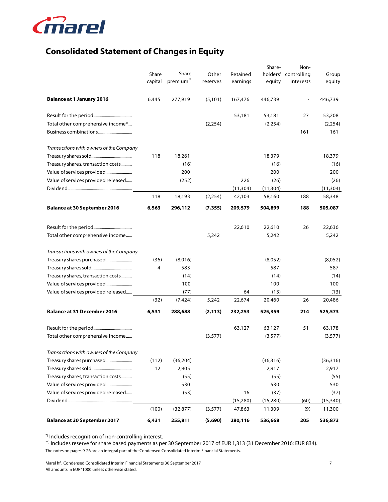

# **Consolidated Statement of Changes in Equity**

|                                         |                  |                                |                   |                      | Share-   | Non-                              |                 |
|-----------------------------------------|------------------|--------------------------------|-------------------|----------------------|----------|-----------------------------------|-----------------|
|                                         | Share<br>capital | Share<br>premium <sup>**</sup> | Other<br>reserves | Retained<br>earnings | equity   | holders' controlling<br>interests | Group<br>equity |
|                                         |                  |                                |                   |                      |          |                                   |                 |
| <b>Balance at 1 January 2016</b>        | 6,445            | 277,919                        | (5,101)           | 167,476              | 446,739  | ÷.                                | 446,739         |
|                                         |                  |                                |                   | 53,181               | 53,181   | 27                                | 53,208          |
| Total other comprehensive income*       |                  |                                | (2, 254)          |                      | (2, 254) |                                   | (2, 254)        |
|                                         |                  |                                |                   |                      |          | 161                               | 161             |
| Transactions with owners of the Company |                  |                                |                   |                      |          |                                   |                 |
|                                         | 118              | 18,261                         |                   |                      | 18,379   |                                   | 18,379          |
| Treasury shares, transaction costs      |                  | (16)                           |                   |                      | (16)     |                                   | (16)            |
|                                         |                  | 200                            |                   |                      | 200      |                                   | 200             |
| Value of services provided released     |                  | (252)                          |                   | 226                  | (26)     |                                   | (26)            |
|                                         |                  |                                |                   | (11, 304)            | (11,304) |                                   | (11, 304)       |
|                                         | 118              | 18,193                         | (2, 254)          | 42,103               | 58,160   | 188                               | 58,348          |
| <b>Balance at 30 September 2016</b>     | 6,563            | 296,112                        | (7, 355)          | 209,579              | 504,899  | 188                               | 505,087         |
|                                         |                  |                                |                   | 22,610               | 22,610   | 26                                | 22,636          |
| Total other comprehensive income        |                  |                                | 5,242             |                      | 5,242    |                                   | 5,242           |
| Transactions with owners of the Company |                  |                                |                   |                      |          |                                   |                 |
|                                         | (36)             | (8,016)                        |                   |                      | (8,052)  |                                   | (8,052)         |
|                                         | 4                | 583                            |                   |                      | 587      |                                   | 587             |
| Treasury shares, transaction costs      |                  | (14)                           |                   |                      | (14)     |                                   | (14)            |
|                                         |                  | 100                            |                   |                      | 100      |                                   | 100             |
| Value of services provided released     |                  | (77)                           |                   | 64                   | (13)     |                                   | (13)            |
|                                         | (32)             | (7, 424)                       | 5,242             | 22,674               | 20,460   | 26                                | 20,486          |
| <b>Balance at 31 December 2016</b>      | 6,531            | 288,688                        | (2, 113)          | 232,253              | 525,359  | 214                               | 525,573         |
|                                         |                  |                                |                   | 63,127               | 63,127   | 51                                | 63,178          |
| Total other comprehensive income        |                  |                                | (3,577)           |                      | (3,577)  |                                   | (3,577)         |
| Transactions with owners of the Company |                  |                                |                   |                      |          |                                   |                 |
| Treasury shares purchased               | (112)            | (36, 204)                      |                   |                      | (36,316) |                                   | (36,316)        |
|                                         | 12               | 2,905                          |                   |                      | 2,917    |                                   | 2,917           |
| Treasury shares, transaction costs      |                  | (55)                           |                   |                      | (55)     |                                   | (55)            |
|                                         |                  | 530                            |                   |                      | 530      |                                   | 530             |
| Value of services provided released     |                  | (53)                           |                   | 16                   | (37)     |                                   | (37)            |
|                                         |                  |                                |                   | (15,280)             | (15,280) | (60)                              | (15,340)        |
|                                         | (100)            | (32, 877)                      | (3,577)           | 47,863               | 11,309   | (9)                               | 11,300          |
| <b>Balance at 30 September 2017</b>     | 6,431            | 255,811                        | (5,690)           | 280,116              | 536,668  | 205                               | 536,873         |

\*) Includes recognition of non-controlling interest.

The notes on pages 9-26 are an integral part of the Condensed Consolidated Interim Financial Statements. \*\*) Includes reserve for share based payments as per 30 September 2017 of EUR 1,313 (31 December 2016: EUR 834).

Marel hf., Condensed Consolidated Interim Financial Statements 30 September 2017 7 All amounts in EUR\*1000 unless otherwise stated.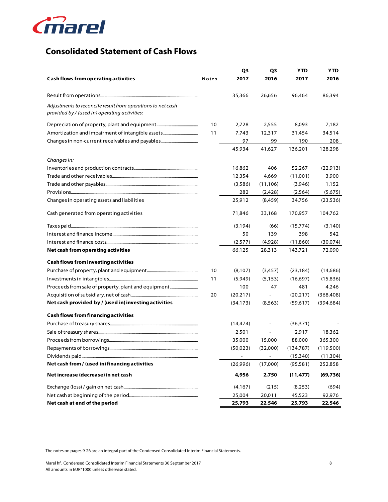

# **Consolidated Statement of Cash Flows**

|                                                                                                              |              | Q3        | Q3                           | YTD        | YTD        |
|--------------------------------------------------------------------------------------------------------------|--------------|-----------|------------------------------|------------|------------|
| <b>Cash flows from operating activities</b>                                                                  | <b>Notes</b> | 2017      | 2016                         | 2017       | 2016       |
|                                                                                                              |              | 35,366    | 26,656                       | 96,464     | 86,394     |
| Adjustments to reconcile result from operations to net cash<br>provided by / (used in) operating activities: |              |           |                              |            |            |
|                                                                                                              | 10           | 2,728     | 2,555                        | 8,093      | 7,182      |
|                                                                                                              | 11           | 7.743     | 12,317                       | 31,454     | 34,514     |
|                                                                                                              |              | 97        | 99                           | 190        | 208        |
|                                                                                                              |              | 45,934    | 41,627                       | 136,201    | 128,298    |
| Changes in:                                                                                                  |              |           |                              |            |            |
|                                                                                                              |              | 16,862    | 406                          | 52,267     | (22, 913)  |
|                                                                                                              |              | 12,354    | 4,669                        | (11,001)   | 3,900      |
|                                                                                                              |              | (3,586)   | (11, 106)                    | (3,946)    | 1,152      |
|                                                                                                              |              | 282       | (2,428)                      | (2,564)    | (5,675)    |
| Changes in operating assets and liabilities                                                                  |              | 25,912    | (8, 459)                     | 34,756     | (23, 536)  |
| Cash generated from operating activities                                                                     |              | 71,846    | 33,168                       | 170,957    | 104,762    |
|                                                                                                              |              | (3, 194)  | (66)                         | (15,774)   | (3, 140)   |
|                                                                                                              |              | 50        | 139                          | 398        | 542        |
|                                                                                                              |              | (2,577)   | (4,928)                      | (11,860)   | (30,074)   |
| Net cash from operating activities                                                                           |              | 66,125    | 28,313                       | 143,721    | 72,090     |
| <b>Cash flows from investing activities</b>                                                                  |              |           |                              |            |            |
|                                                                                                              | 10           | (8,107)   | (3, 457)                     | (23, 184)  | (14,686)   |
|                                                                                                              | 11           | (5,949)   | (5, 153)                     | (16,697)   | (15,836)   |
| Proceeds from sale of property, plant and equipment                                                          |              | 100       | 47                           | 481        | 4,246      |
|                                                                                                              | 20           | (20,217)  | $\qquad \qquad \blacksquare$ | (20,217)   | (368, 408) |
| Net cash provided by / (used in) investing activities                                                        |              | (34, 173) | (8, 563)                     | (59,617)   | (394, 684) |
| <b>Cash flows from financing activities</b>                                                                  |              |           |                              |            |            |
|                                                                                                              |              | (14, 474) | $\overline{\phantom{a}}$     | (36,371)   |            |
|                                                                                                              |              | 2,501     | $\qquad \qquad \blacksquare$ | 2,917      | 18,362     |
|                                                                                                              |              | 35,000    | 15,000                       | 88,000     | 365,300    |
|                                                                                                              |              | (50,023)  | (32,000)                     | (134, 787) | (119,500)  |
|                                                                                                              |              | ÷,        | $\Box$                       | (15, 340)  | (11, 304)  |
| Net cash from / (used in) financing activities                                                               |              | (26,996)  | (17,000)                     | (95, 581)  | 252,858    |
| Net increase (decrease) in net cash                                                                          |              | 4,956     | 2,750                        | (11, 477)  | (69, 736)  |
|                                                                                                              |              | (4, 167)  | (215)                        | (8,253)    | (694)      |
|                                                                                                              |              | 25,004    | 20,011                       | 45,523     | 92,976     |
| Net cash at end of the period                                                                                |              | 25,793    | 22,546                       | 25,793     | 22,546     |

The notes on pages 9-26 are an integral part of the Condensed Consolidated Interim Financial Statements.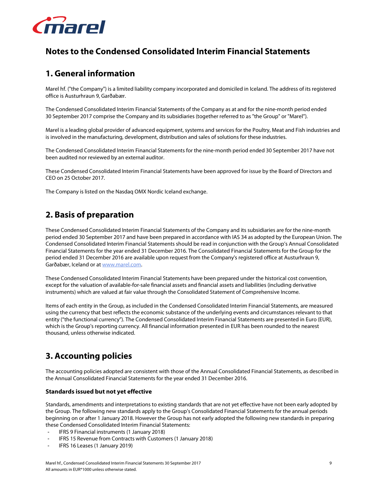

### **Notes to the Condensed Consolidated Interim Financial Statements**

### **1. General information**

Marel hf. ("the Company") is a limited liability company incorporated and domiciled in Iceland. The address of its registered office is Austurhraun 9, Garðabær.

The Condensed Consolidated Interim Financial Statements of the Company as at and for the nine-month period ended 30 September 2017 comprise the Company and its subsidiaries (together referred to as "the Group" or "Marel").

Marel is a leading global provider of advanced equipment, systems and services for the Poultry, Meat and Fish industries and is involved in the manufacturing, development, distribution and sales of solutions for these industries.

The Condensed Consolidated Interim Financial Statements for the nine-month period ended 30 September 2017 have not been audited nor reviewed by an external auditor.

These Condensed Consolidated Interim Financial Statements have been approved for issue by the Board of Directors and CEO on 25 October 2017.

The Company is listed on the Nasdaq OMX Nordic Iceland exchange.

### **2. Basis of preparation**

These Condensed Consolidated Interim Financial Statements of the Company and its subsidiaries are for the nine-month period ended 30 September 2017 and have been prepared in accordance with IAS 34 as adopted by the European Union. The Condensed Consolidated Interim Financial Statements should be read in conjunction with the Group's Annual Consolidated Financial Statements for the year ended 31 December 2016. The Consolidated Financial Statements for the Group for the period ended 31 December 2016 are available upon request from the Company's registered office at Austurhraun 9, Garðabær, Iceland or at www.marel.com.

These Condensed Consolidated Interim Financial Statements have been prepared under the historical cost convention, except for the valuation of available-for-sale financial assets and financial assets and liabilities (including derivative instruments) which are valued at fair value through the Consolidated Statement of Comprehensive Income.

Items of each entity in the Group, as included in the Condensed Consolidated Interim Financial Statements, are measured using the currency that best reflects the economic substance of the underlying events and circumstances relevant to that entity ("the functional currency"). The Condensed Consolidated Interim Financial Statements are presented in Euro (EUR), which is the Group's reporting currency. All financial information presented in EUR has been rounded to the nearest thousand, unless otherwise indicated.

# **3. Accounting policies**

The accounting policies adopted are consistent with those of the Annual Consolidated Financial Statements, as described in the Annual Consolidated Financial Statements for the year ended 31 December 2016.

### **Standards issued but not yet effective**

Standards, amendments and interpretations to existing standards that are not yet effective have not been early adopted by the Group. The following new standards apply to the Group's Consolidated Financial Statements for the annual periods beginning on or after 1 January 2018. However the Group has not early adopted the following new standards in preparing these Condensed Consolidated Interim Financial Statements:

- IFRS 9 Financial instruments (1 January 2018)
- IFRS 15 Revenue from Contracts with Customers (1 January 2018)
- IFRS 16 Leases (1 January 2019)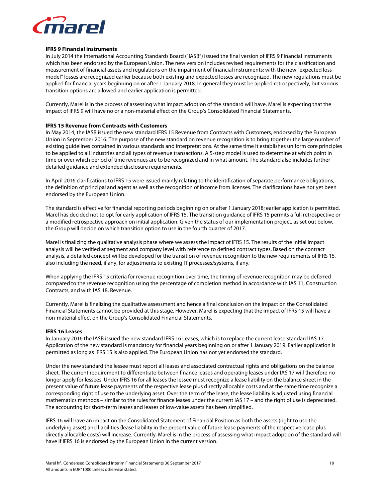

#### **IFRS 9 Financial instruments**

In July 2014 the International Accounting Standards Board ("IASB") issued the final version of IFRS 9 Financial Instruments which has been endorsed by the European Union. The new version includes revised requirements for the classification and measurement of financial assets and regulations on the impairment of financial instruments; with the new "expected loss model" losses are recognized earlier because both existing and expected losses are recognized. The new regulations must be applied for financial years beginning on or after 1 January 2018. In general they must be applied retrospectively, but various transition options are allowed and earlier application is permitted.

Currently, Marel is in the process of assessing what impact adoption of the standard will have. Marel is expecting that the impact of IFRS 9 will have no or a non-material effect on the Group's Consolidated Financial Statements.

#### **IFRS 15 Revenue from Contracts with Customers**

In May 2014, the IASB issued the new standard IFRS 15 Revenue from Contracts with Customers, endorsed by the European Union in September 2016. The purpose of the new standard on revenue recognition is to bring together the large number of existing guidelines contained in various standards and interpretations. At the same time it establishes uniform core principles to be applied to all industries and all types of revenue transactions. A 5-step model is used to determine at which point in time or over which period of time revenues are to be recognized and in what amount. The standard also includes further detailed guidance and extended disclosure requirements.

In April 2016 clarifications to IFRS 15 were issued mainly relating to the identification of separate performance obligations, the definition of principal and agent as well as the recognition of income from licenses. The clarifications have not yet been endorsed by the European Union.

The standard is effective for financial reporting periods beginning on or after 1 January 2018; earlier application is permitted. Marel has decided not to opt for early application of IFRS 15. The transition guidance of IFRS 15 permits a full retrospective or a modified retrospective approach on initial application. Given the status of our implementation project, as set out below, the Group will decide on which transition option to use in the fourth quarter of 2017.

Marel is finalizing the qualitative analysis phase where we assess the impact of IFRS 15. The results of the initial impact analysis will be verified at segment and company level with reference to defined contract types. Based on the contract analysis, a detailed concept will be developed for the transition of revenue recognition to the new requirements of IFRS 15, also including the need, if any, for adjustments to existing IT processes/systems, if any.

When applying the IFRS 15 criteria for revenue recognition over time, the timing of revenue recognition may be deferred compared to the revenue recognition using the percentage of completion method in accordance with IAS 11, Construction Contracts, and with IAS 18, Revenue.

Currently, Marel is finalizing the qualitative assessment and hence a final conclusion on the impact on the Consolidated Financial Statements cannot be provided at this stage. However, Marel is expecting that the impact of IFRS 15 will have a non-material effect on the Group's Consolidated Financial Statements.

#### **IFRS 16 Leases**

In January 2016 the IASB issued the new standard IFRS 16 Leases, which is to replace the current lease standard IAS 17. Application of the new standard is mandatory for financial years beginning on or after 1 January 2019. Earlier application is permitted as long as IFRS 15 is also applied. The European Union has not yet endorsed the standard.

Under the new standard the lessee must report all leases and associated contractual rights and obligations on the balance sheet. The current requirement to differentiate between finance leases and operating leases under IAS 17 will therefore no longer apply for lessees. Under IFRS 16 for all leases the lessee must recognize a lease liability on the balance sheet in the present value of future lease payments of the respective lease plus directly allocable costs and at the same time recognize a corresponding right of use to the underlying asset. Over the term of the lease, the lease liability is adjusted using financial mathematics methods – similar to the rules for finance leases under the current IAS 17 – and the right of use is depreciated. The accounting for short-term leases and leases of low-value assets has been simplified.

IFRS 16 will have an impact on the Consolidated Statement of Financial Position as both the assets (right to use the underlying asset) and liabilities (lease liability in the present value of future lease payments of the respective lease plus directly allocable costs) will increase. Currently, Marel is in the process of assessing what impact adoption of the standard will have if IFRS 16 is endorsed by the European Union in the current version.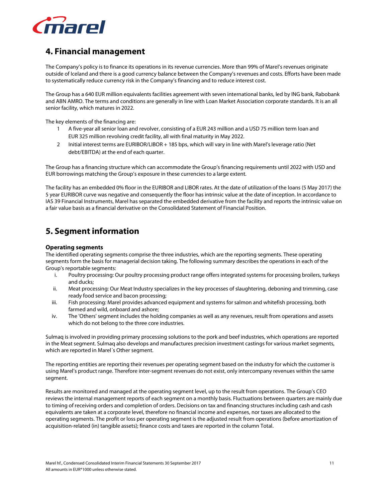

### **4. Financial management**

The Company's policy is to finance its operations in its revenue currencies. More than 99% of Marel's revenues originate outside of Iceland and there is a good currency balance between the Company's revenues and costs. Efforts have been made to systematically reduce currency risk in the Company's financing and to reduce interest cost.

The Group has a 640 EUR million equivalents facilities agreement with seven international banks, led by ING bank, Rabobank and ABN AMRO. The terms and conditions are generally in line with Loan Market Association corporate standards. It is an all senior facility, which matures in 2022.

The key elements of the financing are:

- 1 A five-year all senior loan and revolver, consisting of a EUR 243 million and a USD 75 million term loan and EUR 325 million revolving credit facility, all with final maturity in May 2022.
- 2 Initial interest terms are EURIBOR/LIBOR + 185 bps, which will vary in line with Marel's leverage ratio (Net debt/EBITDA) at the end of each quarter.

The Group has a financing structure which can accommodate the Group's financing requirements until 2022 with USD and EUR borrowings matching the Group's exposure in these currencies to a large extent.

The facility has an embedded 0% floor in the EURIBOR and LIBOR rates. At the date of utilization of the loans (5 May 2017) the 5 year EURIBOR curve was negative and consequently the floor has intrinsic value at the date of inception. In accordance to IAS 39 Financial Instruments, Marel has separated the embedded derivative from the facility and reports the intrinsic value on a fair value basis as a financial derivative on the Consolidated Statement of Financial Position.

### **5. Segment information**

### **Operating segments**

The identified operating segments comprise the three industries, which are the reporting segments. These operating segments form the basis for managerial decision taking. The following summary describes the operations in each of the Group's reportable segments:

- i. Poultry processing: Our poultry processing product range offers integrated systems for processing broilers, turkeys and ducks;
- ii. Meat processing: Our Meat Industry specializes in the key processes of slaughtering, deboning and trimming, case ready food service and bacon processing;
- iii. Fish processing: Marel provides advanced equipment and systems for salmon and whitefish processing, both farmed and wild, onboard and ashore;
- iv. The 'Others' segment includes the holding companies as well as any revenues, result from operations and assets which do not belong to the three core industries.

Sulmaq is involved in providing primary processing solutions to the pork and beef industries, which operations are reported in the Meat segment. Sulmaq also develops and manufactures precision investment castings for various market segments, which are reported in Marel´s Other segment.

The reporting entities are reporting their revenues per operating segment based on the industry for which the customer is using Marel's product range. Therefore inter-segment revenues do not exist, only intercompany revenues within the same segment.

Results are monitored and managed at the operating segment level, up to the result from operations. The Group's CEO reviews the internal management reports of each segment on a monthly basis. Fluctuations between quarters are mainly due to timing of receiving orders and completion of orders. Decisions on tax and financing structures including cash and cash equivalents are taken at a corporate level, therefore no financial income and expenses, nor taxes are allocated to the operating segments. The profit or loss per operating segment is the adjusted result from operations (before amortization of acquisition-related (in) tangible assets); finance costs and taxes are reported in the column Total.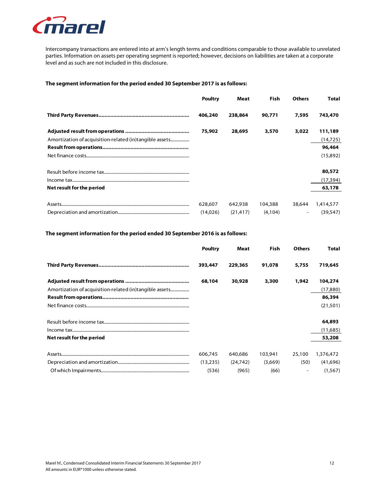![](_page_12_Picture_0.jpeg)

Intercompany transactions are entered into at arm's length terms and conditions comparable to those available to unrelated parties. Information on assets per operating segment is reported; however, decisions on liabilities are taken at a corporate level and as such are not included in this disclosure.

### **The segment information for the period ended 30 September 2017 is as follows:**

|                           | Poultry  | Meat      | Fish    | <b>Others</b>            | Total     |
|---------------------------|----------|-----------|---------|--------------------------|-----------|
|                           | 406,240  | 238,864   | 90,771  | 7,595                    | 743,470   |
|                           | 75,902   | 28,695    | 3,570   | 3,022                    | 111,189   |
|                           |          |           |         |                          | (14, 725) |
|                           |          |           |         |                          | 96,464    |
|                           |          |           |         |                          | (15,892)  |
|                           |          |           |         |                          | 80,572    |
|                           |          |           |         |                          | (17, 394) |
| Net result for the period |          |           |         |                          | 63,178    |
|                           |          |           |         |                          |           |
| Assets                    | 628,607  | 642,938   | 104,388 | 38,644                   | 1,414,577 |
|                           | (14.026) | (21, 417) | (4.104) | $\overline{\phantom{a}}$ | (39.547)  |

### **The segment information for the period ended 30 September 2016 is as follows:**

|                                                         | <b>Poultry</b> | Meat      | Fish    | <b>Others</b> | Total     |
|---------------------------------------------------------|----------------|-----------|---------|---------------|-----------|
|                                                         | 393,447        | 229,365   | 91,078  | 5,755         | 719,645   |
|                                                         | 68,104         | 30,928    | 3,300   | 1,942         | 104,274   |
| Amortization of acquisition-related (in)tangible assets |                |           |         |               | (17,880)  |
|                                                         |                |           |         |               | 86,394    |
|                                                         |                |           |         |               | (21,501)  |
|                                                         |                |           |         |               | 64,893    |
|                                                         |                |           |         |               | (11,685)  |
| Net result for the period                               |                |           |         |               | 53,208    |
|                                                         | 606,745        | 640,686   | 103,941 | 25,100        | 1,376,472 |
|                                                         | (13,235)       | (24, 742) | (3,669) | (50)          | (41,696)  |
|                                                         | (536)          | (965)     | (66)    |               | (1,567)   |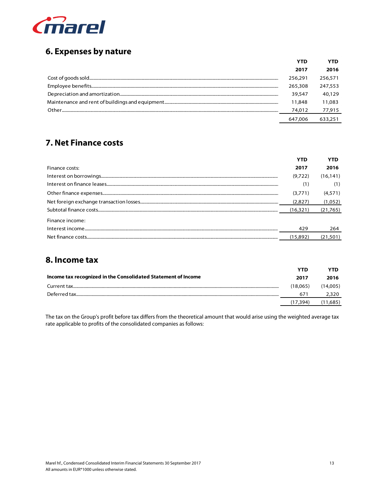![](_page_13_Picture_0.jpeg)

### 6. Expenses by nature

|         | 2017    | 2016    |
|---------|---------|---------|
|         | 256.291 | 256,571 |
|         | 265,308 | 247,553 |
|         | 39,547  | 40,129  |
|         | 11,848  | 11,083  |
| Other . | 74,012  | 77,915  |
|         | 647.006 | 633,251 |

## **7. Net Finance costs**

|                 |          | YTD      |
|-----------------|----------|----------|
| Finance costs:  | 2017     | 2016     |
|                 | (9,722)  | (16.141) |
|                 | (1)      |          |
|                 | (3.771)  | (4.571)  |
|                 | (2.827)  | (1,052)  |
|                 | (16.321) | (21,765) |
| Finance income: |          |          |
|                 | 429      | 264      |
|                 | (15.892) |          |

### 8. Income tax

|                                                               | YID      |          |
|---------------------------------------------------------------|----------|----------|
| Income tax recognized in the Consolidated Statement of Income | 2017     | 2016     |
|                                                               | (18.065) | (14.005) |
| Deferred tax.                                                 | 671      | 2.320    |
|                                                               | .394     | .685     |

The tax on the Group's profit before tax differs from the theoretical amount that would arise using the weighted average tax rate applicable to profits of the consolidated companies as follows: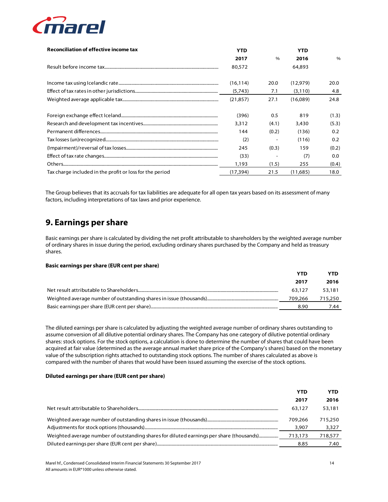![](_page_14_Picture_0.jpeg)

| <b>Reconciliation of effective income tax</b>            | YTD       |       | YTD       |               |
|----------------------------------------------------------|-----------|-------|-----------|---------------|
|                                                          | 2017      | $\%$  | 2016      | $\frac{0}{6}$ |
|                                                          | 80,572    |       | 64,893    |               |
|                                                          |           |       |           |               |
|                                                          | (16.114)  | 20.0  | (12, 979) | 20.0          |
|                                                          | (5,743)   | 7.1   | (3, 110)  | 4.8           |
|                                                          | (21, 857) | 27.1  | (16,089)  | 24.8          |
|                                                          |           |       |           |               |
|                                                          | (396)     | 0.5   | 819       | (1.3)         |
|                                                          | 3,312     | (4.1) | 3,430     | (5.3)         |
|                                                          | 144       | (0.2) | (136)     | 0.2           |
|                                                          | (2)       |       | (116)     | 0.2           |
|                                                          | 245       | (0.3) | 159       | (0.2)         |
|                                                          | (33)      |       | (7)       | 0.0           |
|                                                          | 1,193     | (1.5) | 255       | (0.4)         |
| Tax charge included in the profit or loss for the period | (17, 394) | 21.5  | (11.685)  | 18.0          |

The Group believes that its accruals for tax liabilities are adequate for all open tax years based on its assessment of many factors, including interpretations of tax laws and prior experience.

### **9. Earnings per share**

Basic earnings per share is calculated by dividing the net profit attributable to shareholders by the weighted average number of ordinary shares in issue during the period, excluding ordinary shares purchased by the Company and held as treasury shares.

#### **Basic earnings per share (EUR cent per share)**

| YTD     | YTD     |
|---------|---------|
| 2017    | 2016    |
| 63.127  | 53,181  |
| 709,266 | 715,250 |
| 8.90    | 44.     |

The diluted earnings per share is calculated by adjusting the weighted average number of ordinary shares outstanding to assume conversion of all dilutive potential ordinary shares. The Company has one category of dilutive potential ordinary shares: stock options. For the stock options, a calculation is done to determine the number of shares that could have been acquired at fair value (determined as the average annual market share price of the Company's shares) based on the monetary value of the subscription rights attached to outstanding stock options. The number of shares calculated as above is compared with the number of shares that would have been issued assuming the exercise of the stock options.

#### **Diluted earnings per share (EUR cent per share)**

|                                                                                          | YTD     | YTD     |
|------------------------------------------------------------------------------------------|---------|---------|
|                                                                                          | 2017    | 2016    |
|                                                                                          | 63,127  | 53,181  |
|                                                                                          | 709.266 | 715,250 |
|                                                                                          | 3.907   | 3,327   |
| Weighted average number of outstanding shares for diluted earnings per share (thousands) | 713,173 | 718,577 |
|                                                                                          | 8.85    | 7.40    |

Marel hf., Condensed Consolidated Interim Financial Statements 30 September 2017 14 All amounts in EUR\*1000 unless otherwise stated.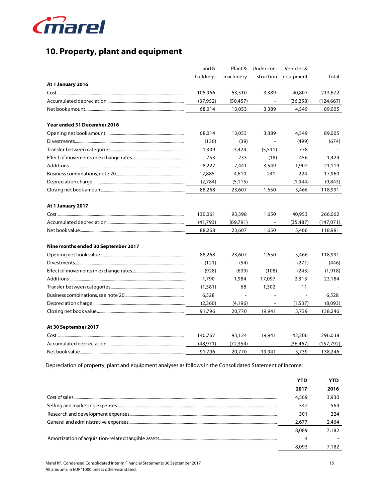![](_page_15_Picture_0.jpeg)

# **10. Property, plant and equipment**

|                                     | Land &    | Plant &   | Under con-               | Vehicles & |            |
|-------------------------------------|-----------|-----------|--------------------------|------------|------------|
|                                     | buildings | machinery | struction                | equipment  | Total      |
| At 1 January 2016                   |           |           |                          |            |            |
|                                     | 105,966   | 63,510    | 3,389                    | 40,807     | 213,672    |
|                                     | (37, 952) | (50, 457) |                          | (36, 258)  | (124, 667) |
|                                     | 68,014    | 13,053    | 3,389                    | 4,549      | 89,005     |
| Year ended 31 December 2016         |           |           |                          |            |            |
|                                     | 68,014    | 13,053    | 3,389                    | 4,549      | 89,005     |
|                                     | (136)     | (39)      |                          | (499)      | (674)      |
|                                     | 1,309     | 3,424     | (5, 511)                 | 778        |            |
|                                     | 753       | 233       | (18)                     | 456        | 1,424      |
|                                     | 8,227     | 7,441     | 3,549                    | 1,902      | 21,119     |
|                                     | 12,885    | 4,610     | 241                      | 224        | 17,960     |
|                                     | (2,784)   | (5, 115)  | $\overline{\phantom{a}}$ | (1,944)    | (9,843)    |
|                                     | 88,268    | 23,607    | 1,650                    | 5,466      | 118,991    |
| At 1 January 2017                   |           |           |                          |            |            |
|                                     | 130,061   | 93,398    | 1,650                    | 40,953     | 266,062    |
|                                     | (41,793)  | (69, 791) |                          | (35, 487)  | (147,071)  |
|                                     | 88,268    | 23,607    | 1,650                    | 5,466      | 118,991    |
| Nine months ended 30 September 2017 |           |           |                          |            |            |
|                                     | 88,268    | 23,607    | 1,650                    | 5,466      | 118,991    |
|                                     | (121)     | (54)      |                          | (271)      | (446)      |
|                                     | (928)     | (639)     | (108)                    | (243)      | (1,918)    |
|                                     | 1,790     | 1,984     | 17,097                   | 2,313      | 23,184     |
|                                     | (1,381)   | 68        | 1,302                    | 11         |            |
|                                     | 6,528     |           |                          |            | 6,528      |
|                                     | (2,360)   | (4, 196)  |                          | (1,537)    | (8,093)    |
|                                     | 91,796    | 20,770    | 19,941                   | 5,739      | 138,246    |
| At 30 September 2017                |           |           |                          |            |            |
|                                     | 140,767   | 93,124    | 19,941                   | 42,206     | 296,038    |
|                                     | (48, 971) | (72, 354) | $\overline{\phantom{a}}$ | (36, 467)  | (157, 792) |
|                                     | 91,796    | 20,770    | 19,941                   | 5,739      | 138,246    |

Depreciation of property, plant and equipment analyses as follows in the Consolidated Statement of Income:

| YTD   | YTD   |
|-------|-------|
| 2017  | 2016  |
| 4,569 | 3,930 |
| 542   | 564   |
| 301   | 224   |
| 2.677 | 2,464 |
| 8.089 | 7.182 |
|       |       |
| 8.093 | 7.182 |

Marel hf., Condensed Consolidated Interim Financial Statements 30 September 2017 15 All amounts in EUR\*1000 unless otherwise stated.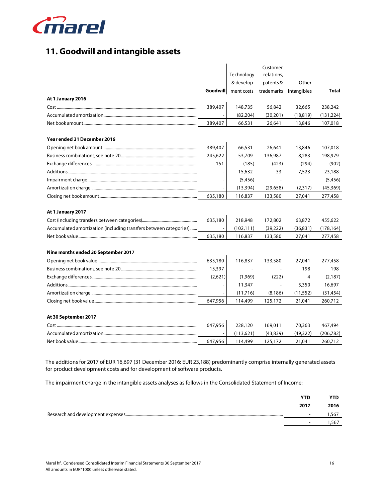![](_page_16_Picture_0.jpeg)

## **11. Goodwill and intangible assets**

|                                                                   |                          |            | Customer                 |             |            |
|-------------------------------------------------------------------|--------------------------|------------|--------------------------|-------------|------------|
|                                                                   |                          | Technology | relations,               |             |            |
|                                                                   |                          | & develop- | patents &                | Other       |            |
|                                                                   | Goodwill                 | ment costs | trademarks               | intangibles | Total      |
| At 1 January 2016                                                 |                          |            |                          |             |            |
|                                                                   | 389,407                  | 148,735    | 56,842                   | 32,665      | 238,242    |
|                                                                   |                          | (82, 204)  | (30,201)                 | (18, 819)   | (131, 224) |
|                                                                   | 389,407                  | 66,531     | 26,641                   | 13,846      | 107,018    |
| Year ended 31 December 2016                                       |                          |            |                          |             |            |
|                                                                   | 389,407                  | 66,531     | 26,641                   | 13,846      | 107,018    |
|                                                                   | 245,622                  | 53,709     | 136,987                  | 8,283       | 198,979    |
|                                                                   | 151                      | (185)      | (423)                    | (294)       | (902)      |
|                                                                   |                          | 15,632     | 33                       | 7,523       | 23,188     |
|                                                                   |                          | (5,456)    |                          | ÷,          | (5,456)    |
|                                                                   | $\overline{\phantom{a}}$ | (13, 394)  | (29, 658)                | (2,317)     | (45,369)   |
|                                                                   | 635,180                  | 116,837    | 133,580                  | 27,041      | 277,458    |
|                                                                   |                          |            |                          |             |            |
| At 1 January 2017                                                 |                          |            |                          |             |            |
|                                                                   | 635,180                  | 218,948    | 172,802                  | 63,872      | 455,622    |
| Accumulated amortization (including transfers between categories) |                          | (102, 111) | (39, 222)                | (36, 831)   | (178, 164) |
|                                                                   | 635,180                  | 116,837    | 133,580                  | 27,041      | 277,458    |
|                                                                   |                          |            |                          |             |            |
| Nine months ended 30 September 2017                               |                          |            |                          |             |            |
|                                                                   | 635,180                  | 116,837    | 133,580                  | 27,041      | 277,458    |
|                                                                   | 15,397                   |            |                          | 198         | 198        |
|                                                                   | (2,621)                  | (1,969)    | (222)                    | 4           | (2, 187)   |
|                                                                   |                          | 11,347     | $\overline{\phantom{a}}$ | 5,350       | 16,697     |
|                                                                   |                          | (11,716)   | (8, 186)                 | (11, 552)   | (31, 454)  |
|                                                                   | 647,956                  | 114,499    | 125,172                  | 21,041      | 260,712    |
|                                                                   |                          |            |                          |             |            |
| At 30 September 2017                                              |                          |            |                          |             |            |
|                                                                   | 647,956                  | 228,120    | 169,011                  | 70,363      | 467,494    |
|                                                                   |                          | (113, 621) | (43, 839)                | (49, 322)   | (206, 782) |
|                                                                   | 647,956                  | 114,499    | 125,172                  | 21,041      | 260,712    |

The additions for 2017 of EUR 16,697 (31 December 2016: EUR 23,188) predominantly comprise internally generated assets for product development costs and for development of software products.

The impairment charge in the intangible assets analyses as follows in the Consolidated Statement of Income:

| YTD                      |      |
|--------------------------|------|
| 2017                     | 2016 |
|                          | .567 |
| $\overline{\phantom{a}}$ | .56  |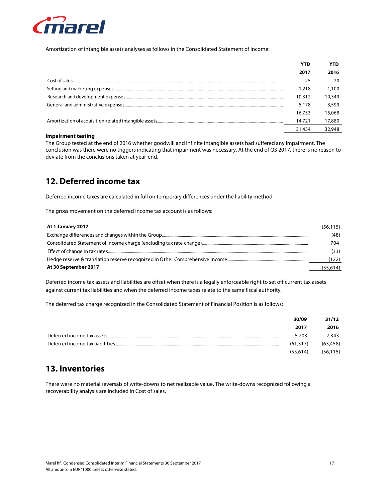![](_page_17_Picture_0.jpeg)

Amortization of intangible assets analyses as follows in the Consolidated Statement of Income:

| YTD    | YTD    |
|--------|--------|
| 2017   | 2016   |
| 25     | 20     |
| 1,218  | 1,100  |
| 10,312 | 10,349 |
| 5.178  | 3,599  |
| 16.733 | 15,068 |
| 14,721 | 17,880 |
| 31,454 | 32,948 |

#### **Impairment testing**

The Group tested at the end of 2016 whether goodwill and infinite intangible assets had suffered any impairment. The conclusion was there were no triggers indicating that impairment was necessary. At the end of Q3 2017, there is no reason to deviate from the conclusions taken at year-end.

### **12. Deferred income tax**

Deferred income taxes are calculated in full on temporary differences under the liability method.

The gross movement on the deferred income tax account is as follows:

| At 1 January 2017    | (56.115) |
|----------------------|----------|
|                      | (48)     |
|                      | 704      |
|                      | (33)     |
|                      | (122)    |
| At 30 September 2017 | (55,614) |

Deferred income tax assets and liabilities are offset when there is a legally enforceable right to set off current tax assets against current tax liabilities and when the deferred income taxes relate to the same fiscal authority.

The deferred tax charge recognized in the Consolidated Statement of Financial Position is as follows:

|                                 | 30/09    | 31/12     |
|---------------------------------|----------|-----------|
|                                 | 2017     | 2016      |
| Deferred income tax assets      | 5.703    | 7.343     |
| Deferred income tax liabilities | (61.317) | (63, 458) |
|                                 | (55.614) | (56, 115) |

### **13. Inventories**

There were no material reversals of write-downs to net realizable value. The write-downs recognized following a recoverability analysis are included in Cost of sales.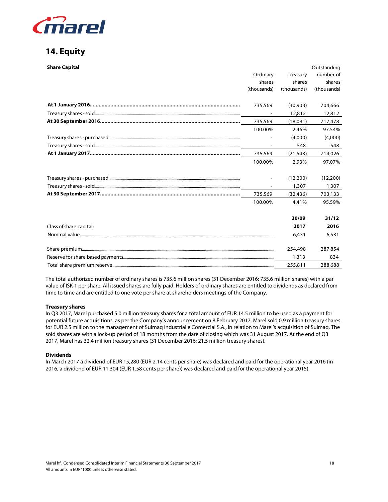![](_page_18_Picture_0.jpeg)

### **14. Equity**

| <b>Share Capital</b>    |                |             | Outstanding |
|-------------------------|----------------|-------------|-------------|
|                         | Ordinary       | Treasury    | number of   |
|                         | shares         | shares      | shares      |
|                         | (thousands)    | (thousands) | (thousands) |
|                         | 735,569        | (30.903)    | 704,666     |
|                         | $\blacksquare$ | 12,812      | 12,812      |
|                         | 735,569        | (18,091)    | 717,478     |
|                         | 100.00%        | 2.46%       | 97.54%      |
|                         |                | (4,000)     | (4,000)     |
|                         |                | 548         | 548         |
|                         | 735,569        | (21, 543)   | 714,026     |
|                         | 100.00%        | 2.93%       | 97.07%      |
|                         |                | (12,200)    | (12,200)    |
|                         |                | 1,307       | 1,307       |
|                         | 735,569        | (32, 436)   | 703,133     |
|                         | 100.00%        | 4.41%       | 95.59%      |
|                         |                | 30/09       | 31/12       |
| Class of share capital: |                | 2017        | 2016        |
|                         |                | 6,431       | 6,531       |
|                         |                | 254,498     | 287,854     |
|                         |                | 1,313       | 834         |
|                         |                | 255,811     | 288,688     |

The total authorized number of ordinary shares is 735.6 million shares (31 December 2016: 735.6 million shares) with a par value of ISK 1 per share. All issued shares are fully paid. Holders of ordinary shares are entitled to dividends as declared from time to time and are entitled to one vote per share at shareholders meetings of the Company.

#### **Treasury shares**

In Q3 2017, Marel purchased 5.0 million treasury shares for a total amount of EUR 14.5 million to be used as a payment for potential future acquisitions, as per the Company's announcement on 8 February 2017. Marel sold 0.9 million treasury shares for EUR 2.5 million to the management of Sulmaq Industrial e Comercial S.A., in relation to Marel's acquisition of Sulmaq. The sold shares are with a lock-up period of 18 months from the date of closing which was 31 August 2017. At the end of Q3 2017, Marel has 32.4 million treasury shares (31 December 2016: 21.5 million treasury shares).

#### **Dividends**

In March 2017 a dividend of EUR 15,280 (EUR 2.14 cents per share) was declared and paid for the operational year 2016 (in 2016, a dividend of EUR 11,304 (EUR 1.58 cents per share)) was declared and paid for the operational year 2015).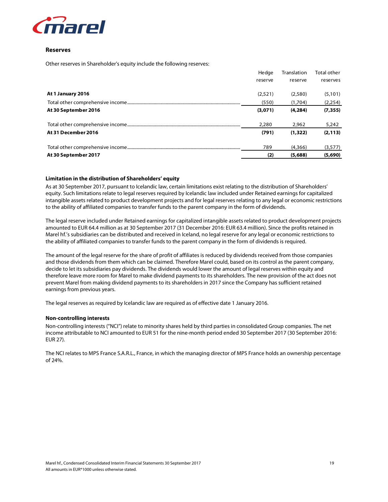![](_page_19_Picture_0.jpeg)

#### **Reserves**

Other reserves in Shareholder's equity include the following reserves:

|                      | Hedge   | Translation | <b>Total other</b> |
|----------------------|---------|-------------|--------------------|
|                      | reserve | reserve     | reserves           |
| At 1 January 2016    | (2.521) | (2.580)     | (5, 101)           |
|                      | (550)   | (1,704)     | (2, 254)           |
| At 30 September 2016 | (3,071) | (4.284)     | (7, 355)           |
|                      | 2,280   | 2,962       | 5,242              |
| At 31 December 2016  | (791)   | (1, 322)    | (2, 113)           |
|                      | 789     | (4.366)     | (3,577)            |
| At 30 September 2017 | (2)     | (5,688)     | (5,690)            |

#### **Limitation in the distribution of Shareholders' equity**

As at 30 September 2017, pursuant to Icelandic law, certain limitations exist relating to the distribution of Shareholders' equity. Such limitations relate to legal reserves required by Icelandic law included under Retained earnings for capitalized intangible assets related to product development projects and for legal reserves relating to any legal or economic restrictions to the ability of affiliated companies to transfer funds to the parent company in the form of dividends.

The legal reserve included under Retained earnings for capitalized intangible assets related to product development projects amounted to EUR 64.4 million as at 30 September 2017 (31 December 2016: EUR 63.4 million). Since the profits retained in Marel hf.'s subsidiaries can be distributed and received in Iceland, no legal reserve for any legal or economic restrictions to the ability of affiliated companies to transfer funds to the parent company in the form of dividends is required.

The amount of the legal reserve for the share of profit of affiliates is reduced by dividends received from those companies and those dividends from them which can be claimed. Therefore Marel could, based on its control as the parent company, decide to let its subsidiaries pay dividends. The dividends would lower the amount of legal reserves within equity and therefore leave more room for Marel to make dividend payments to its shareholders. The new provision of the act does not prevent Marel from making dividend payments to its shareholders in 2017 since the Company has sufficient retained earnings from previous years.

The legal reserves as required by Icelandic law are required as of effective date 1 January 2016.

#### **Non-controlling interests**

Non-controlling interests ("NCI") relate to minority shares held by third parties in consolidated Group companies. The net income attributable to NCI amounted to EUR 51 for the nine-month period ended 30 September 2017 (30 September 2016: EUR 27).

The NCI relates to MPS France S.A.R.L., France, in which the managing director of MPS France holds an ownership percentage of 24%.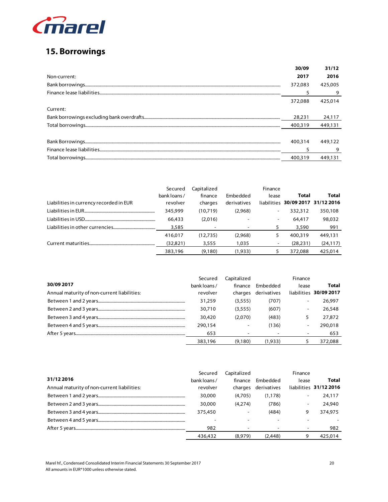![](_page_20_Picture_0.jpeg)

# **15. Borrowings**

|              | 30/09   | 31/12   |
|--------------|---------|---------|
| Non-current: | 2017    | 2016    |
|              | 372,083 | 425,005 |
|              |         |         |
|              | 372.088 | 425,014 |
| Current:     |         |         |
|              | 28,231  | 24,117  |
|              | 400.319 | 449,131 |
|              |         |         |
|              | 400.314 | 449.122 |
|              |         |         |
|              | 400.319 | 449,131 |

|                                         | Secured      | Capitalized |             | Finance                  |                                   |           |
|-----------------------------------------|--------------|-------------|-------------|--------------------------|-----------------------------------|-----------|
|                                         | bank loans / | finance     | Embedded    | lease                    | Total                             | Total     |
| Liabilities in currency recorded in EUR | revolver     | charges     | derivatives |                          | liabilities 30/09 2017 31/12 2016 |           |
|                                         | 345,999      | (10.719)    | (2,968)     | $\overline{\phantom{a}}$ | 332,312                           | 350,108   |
|                                         | 66,433       | (2,016)     |             | $\overline{\phantom{a}}$ | 64,417                            | 98,032    |
|                                         | 3,585        |             |             | 5                        | 3,590                             | 991       |
|                                         | 416,017      | (12,735)    | (2,968)     | 5                        | 400,319                           | 449,131   |
|                                         | (32, 821)    | 3,555       | 1.035       | -                        | (28,231)                          | (24, 117) |
|                                         | 383,196      | (9,180)     | (1,933)     |                          | 372,088                           | 425,014   |

|                                             | Secured     | Capitalized |             | Finance |                        |
|---------------------------------------------|-------------|-------------|-------------|---------|------------------------|
| 30/09 2017                                  | bank loans/ | finance     | Embedded    | lease   | <b>Total</b>           |
| Annual maturity of non-current liabilities: | revolver    | charges     | derivatives |         | liabilities 30/09 2017 |
|                                             | 31,259      | (3.555)     | (707)       |         | 26,997                 |
|                                             | 30,710      | (3,555)     | (607)       | ۰       | 26,548                 |
|                                             | 30,420      | (2.070)     | (483)       | 5.      | 27,872                 |
|                                             | 290.154     |             | (136)       |         | 290,018                |
|                                             | 653         |             |             |         | 653                    |
|                                             | 383,196     | (9.180)     | (1.933)     |         | 372,088                |

|                                             | Secured     | Capitalized |             | Finance |                        |
|---------------------------------------------|-------------|-------------|-------------|---------|------------------------|
| 31/12 2016                                  | bank loans/ | finance     | Embedded    | lease   | <b>Total</b>           |
| Annual maturity of non-current liabilities: | revolver    | charges     | derivatives |         | liabilities 31/12 2016 |
|                                             | 30,000      | (4.705)     | (1, 178)    |         | 24,117                 |
|                                             | 30,000      | (4.274)     | (786)       | ۰       | 24,940                 |
|                                             | 375,450     |             | (484)       | 9       | 374,975                |
|                                             |             |             |             |         |                        |
|                                             | 982         |             |             |         | 982                    |
|                                             | 436,432     | (8,979)     | (2,448)     | 9       | 425,014                |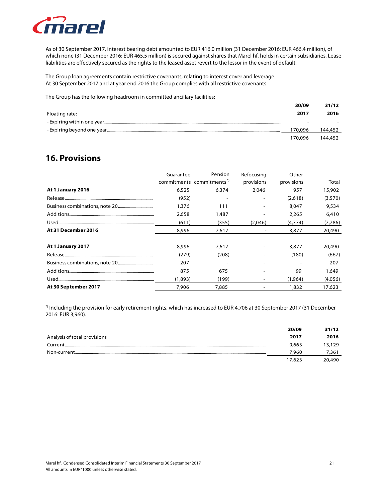![](_page_21_Picture_0.jpeg)

As of 30 September 2017, interest bearing debt amounted to EUR 416.0 million (31 December 2016: EUR 466.4 million), of which none (31 December 2016: EUR 465.5 million) is secured against shares that Marel hf. holds in certain subsidiaries. Lease liabilities are effectively secured as the rights to the leased asset revert to the lessor in the event of default.

The Group loan agreements contain restrictive covenants, relating to interest cover and leverage. At 30 September 2017 and at year end 2016 the Group complies with all restrictive covenants.

The Group has the following headroom in committed ancillary facilities:

|                | 30/09   | 31/12   |
|----------------|---------|---------|
| Floating rate: | 2017    | 2016    |
|                |         |         |
|                | 170.096 | 144,452 |
|                | 170.096 | 144.452 |

### **16. Provisions**

|                      | Guarantee | Pension                              | Refocusing | Other      |         |
|----------------------|-----------|--------------------------------------|------------|------------|---------|
|                      |           | commitments commitments <sup>*</sup> | provisions | provisions | Total   |
| At 1 January 2016    | 6.525     | 6.374                                | 2.046      | 957        | 15,902  |
|                      | (952)     |                                      |            | (2.618)    | (3,570) |
|                      | 1,376     | 111                                  |            | 8,047      | 9,534   |
|                      | 2,658     | 1.487                                |            | 2.265      | 6,410   |
|                      | (611)     | (355)                                | (2,046)    | (4,774)    | (7,786) |
| At 31 December 2016  | 8,996     | 7,617                                |            | 3,877      | 20,490  |
| At 1 January 2017    | 8,996     | 7.617                                |            | 3,877      | 20,490  |
|                      | (279)     | (208)                                |            | (180)      | (667)   |
|                      | 207       |                                      |            |            | 207     |
|                      | 875       | 675                                  |            | 99         | 1.649   |
|                      | (1,893)   | (199)                                |            | (1,964)    | (4,056) |
| At 30 September 2017 | 7.906     | 7,885                                |            | 1,832      | 17,623  |

\*) Including the provision for early retirement rights, which has increased to EUR 4,706 at 30 September 2017 (31 December 2016: EUR 3,960).

|                                                                                                                                                                                                                                                                                                                                                                                                             | 30/09  | 31/12  |
|-------------------------------------------------------------------------------------------------------------------------------------------------------------------------------------------------------------------------------------------------------------------------------------------------------------------------------------------------------------------------------------------------------------|--------|--------|
| Analysis of total provisions                                                                                                                                                                                                                                                                                                                                                                                | 2017   | 2016   |
| Current.                                                                                                                                                                                                                                                                                                                                                                                                    | 9.663  | 13.129 |
| $\textbf{Non-current}\tiny{1-1} \textbf{1} \textbf{2} \textbf{3} \textbf{4} \textbf{5} \textbf{6} \textbf{6} \textbf{7} \textbf{8} \textbf{8} \textbf{9} \textbf{10} \textbf{10} \textbf{10} \textbf{10} \textbf{10} \textbf{10} \textbf{10} \textbf{10} \textbf{10} \textbf{10} \textbf{10} \textbf{10} \textbf{10} \textbf{10} \textbf{10} \textbf{10} \textbf{10} \textbf{10} \textbf{10} \textbf{10} \$ | 7.960  | 7,361  |
|                                                                                                                                                                                                                                                                                                                                                                                                             | 17.623 | 20.490 |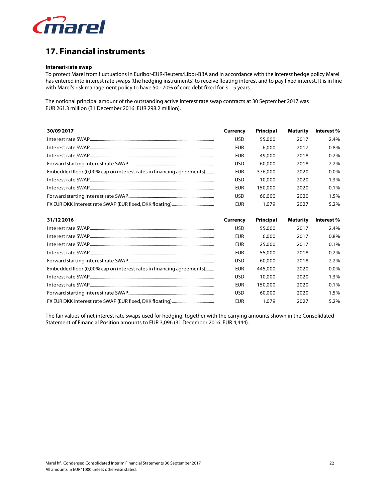![](_page_22_Picture_0.jpeg)

### **17. Financial instruments**

#### **Interest-rate swap**

To protect Marel from fluctuations in Euribor-EUR-Reuters/Libor-BBA and in accordance with the interest hedge policy Marel has entered into interest rate swaps (the hedging instruments) to receive floating interest and to pay fixed interest. It is in line with Marel's risk management policy to have 50 - 70% of core debt fixed for 3 - 5 years.

The notional principal amount of the outstanding active interest rate swap contracts at 30 September 2017 was EUR 261.3 million (31 December 2016: EUR 298.2 million).

| 30/09 2017                                                           | Currency   | Principal | <b>Maturity</b> | Interest% |
|----------------------------------------------------------------------|------------|-----------|-----------------|-----------|
|                                                                      | USD.       | 55,000    | 2017            | 2.4%      |
|                                                                      | EUR.       | 6,000     | 2017            | 0.8%      |
|                                                                      | <b>EUR</b> | 49,000    | 2018            | 0.2%      |
|                                                                      | USD.       | 60,000    | 2018            | 2.2%      |
| Embedded floor (0,00% cap on interest rates in financing agreements) | EUR.       | 376,000   | 2020            | $0.0\%$   |
|                                                                      | <b>USD</b> | 10,000    | 2020            | 1.3%      |
|                                                                      | <b>EUR</b> | 150,000   | 2020            | $-0.1%$   |
|                                                                      | USD.       | 60,000    | 2020            | 1.5%      |
|                                                                      | <b>EUR</b> | 1,079     | 2027            | 5.2%      |
|                                                                      |            |           |                 |           |
| 31/12 2016                                                           | Currency   | Principal | <b>Maturity</b> | Interest% |
|                                                                      | <b>USD</b> | 55,000    | 2017            | 2.4%      |
|                                                                      | <b>EUR</b> | 6,000     | 2017            | 0.8%      |
|                                                                      | <b>EUR</b> | 25,000    | 2017            | 0.1%      |
|                                                                      | <b>EUR</b> | 55,000    | 2018            | $0.2\%$   |
|                                                                      | <b>USD</b> | 60,000    | 2018            | 2.2%      |
| Embedded floor (0,00% cap on interest rates in financing agreements) | <b>EUR</b> | 445,000   | 2020            | $0.0\%$   |
|                                                                      | USD.       | 10,000    | 2020            | 1.3%      |
|                                                                      | <b>EUR</b> | 150,000   | 2020            | $-0.1%$   |
|                                                                      | USD.       | 60,000    | 2020            | 1.5%      |

The fair values of net interest rate swaps used for hedging, together with the carrying amounts shown in the Consolidated Statement of Financial Position amounts to EUR 3,096 (31 December 2016: EUR 4,444).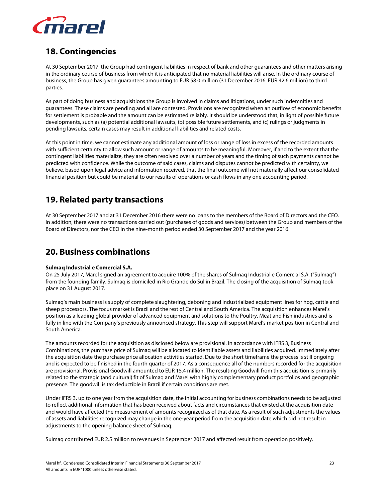![](_page_23_Picture_0.jpeg)

### **18. Contingencies**

At 30 September 2017, the Group had contingent liabilities in respect of bank and other guarantees and other matters arising in the ordinary course of business from which it is anticipated that no material liabilities will arise. In the ordinary course of business, the Group has given guarantees amounting to EUR 58.0 million (31 December 2016: EUR 42.6 million) to third parties.

As part of doing business and acquisitions the Group is involved in claims and litigations, under such indemnities and guarantees. These claims are pending and all are contested. Provisions are recognized when an outflow of economic benefits for settlement is probable and the amount can be estimated reliably. It should be understood that, in light of possible future developments, such as (a) potential additional lawsuits, (b) possible future settlements, and (c) rulings or judgments in pending lawsuits, certain cases may result in additional liabilities and related costs.

At this point in time, we cannot estimate any additional amount of loss or range of loss in excess of the recorded amounts with sufficient certainty to allow such amount or range of amounts to be meaningful. Moreover, if and to the extent that the contingent liabilities materialize, they are often resolved over a number of years and the timing of such payments cannot be predicted with confidence. While the outcome of said cases, claims and disputes cannot be predicted with certainty, we believe, based upon legal advice and information received, that the final outcome will not materially affect our consolidated financial position but could be material to our results of operations or cash flows in any one accounting period.

### **19. Related party transactions**

At 30 September 2017 and at 31 December 2016 there were no loans to the members of the Board of Directors and the CEO. In addition, there were no transactions carried out (purchases of goods and services) between the Group and members of the Board of Directors, nor the CEO in the nine-month period ended 30 September 2017 and the year 2016.

### **20. Business combinations**

### **Sulmaq Industrial e Comercial S.A.**

On 25 July 2017, Marel signed an agreement to acquire 100% of the shares of Sulmaq Industrial e Comercial S.A. ("Sulmaq") from the founding family. Sulmaq is domiciled in Rio Grande do Sul in Brazil. The closing of the acquisition of Sulmaq took place on 31 August 2017.

Sulmaq's main business is supply of complete slaughtering, deboning and industrialized equipment lines for hog, cattle and sheep processors. The focus market is Brazil and the rest of Central and South America. The acquisition enhances Marel's position as a leading global provider of advanced equipment and solutions to the Poultry, Meat and Fish industries and is fully in line with the Company's previously announced strategy. This step will support Marel's market position in Central and South America.

The amounts recorded for the acquisition as disclosed below are provisional. In accordance with IFRS 3, Business Combinations, the purchase price of Sulmaq will be allocated to identifiable assets and liabilities acquired. Immediately after the acquisition date the purchase price allocation activities started. Due to the short timeframe the process is still ongoing and is expected to be finished in the fourth quarter of 2017. As a consequence all of the numbers recorded for the acquisition are provisional. Provisional Goodwill amounted to EUR 15.4 million. The resulting Goodwill from this acquisition is primarily related to the strategic (and cultural) fit of Sulmaq and Marel with highly complementary product portfolios and geographic presence. The goodwill is tax deductible in Brazil if certain conditions are met.

Under IFRS 3, up to one year from the acquisition date, the initial accounting for business combinations needs to be adjusted to reflect additional information that has been received about facts and circumstances that existed at the acquisition date and would have affected the measurement of amounts recognized as of that date. As a result of such adjustments the values of assets and liabilities recognized may change in the one-year period from the acquisition date which did not result in adjustments to the opening balance sheet of Sulmaq.

Sulmaq contributed EUR 2.5 million to revenues in September 2017 and affected result from operation positively.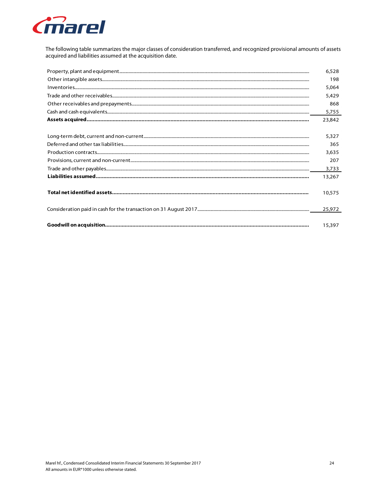![](_page_24_Picture_0.jpeg)

The following table summarizes the major classes of consideration transferred, and recognized provisional amounts of assets acquired and liabilities assumed at the acquisition date.

| 6,528  |
|--------|
| 198    |
| 5,064  |
| 5,429  |
| 868    |
| 5,755  |
| 23,842 |
| 5.327  |
| 365    |
| 3,635  |
| 207    |
| 3,733  |
| 13,267 |
| 10,575 |
| 25,972 |
| 15,397 |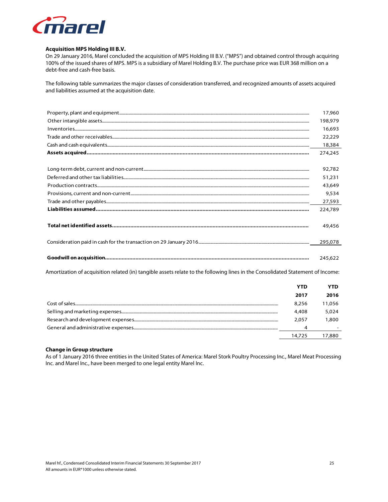![](_page_25_Picture_0.jpeg)

### Acquisition MPS Holding III B.V.

On 29 January 2016, Marel concluded the acquisition of MPS Holding III B.V. ("MPS") and obtained control through acquiring 100% of the issued shares of MPS. MPS is a subsidiary of Marel Holding B.V. The purchase price was EUR 368 million on a debt-free and cash-free basis.

The following table summarizes the major classes of consideration transferred, and recognized amounts of assets acquired and liabilities assumed at the acquisition date.

|                                                                                                                                                                                                                                                                                                                                                                                                                      | 17,960  |
|----------------------------------------------------------------------------------------------------------------------------------------------------------------------------------------------------------------------------------------------------------------------------------------------------------------------------------------------------------------------------------------------------------------------|---------|
|                                                                                                                                                                                                                                                                                                                                                                                                                      | 198,979 |
|                                                                                                                                                                                                                                                                                                                                                                                                                      | 16.693  |
|                                                                                                                                                                                                                                                                                                                                                                                                                      | 22,229  |
|                                                                                                                                                                                                                                                                                                                                                                                                                      | 18,384  |
|                                                                                                                                                                                                                                                                                                                                                                                                                      | 274,245 |
|                                                                                                                                                                                                                                                                                                                                                                                                                      |         |
| $\label{cor:main} Long-term \textit{debt}, current \textit{and non-current} \textit{} \textit{} \textit{} \textit{} \textit{} \textit{} \textit{} \textit{} \textit{} \textit{} \textit{} \textit{} \textit{} \textit{} \textit{} \textit{} \textit{} \textit{} \textit{} \textit{} \textit{} \textit{} \textit{} \textit{} \textit{} \textit{} \textit{} \textit{} \textit{} \textit{} \textit{} \textit{} \textit$ | 92.782  |
|                                                                                                                                                                                                                                                                                                                                                                                                                      | 51,231  |
|                                                                                                                                                                                                                                                                                                                                                                                                                      | 43,649  |
|                                                                                                                                                                                                                                                                                                                                                                                                                      | 9,534   |
|                                                                                                                                                                                                                                                                                                                                                                                                                      | 27,593  |
|                                                                                                                                                                                                                                                                                                                                                                                                                      | 224,789 |
|                                                                                                                                                                                                                                                                                                                                                                                                                      | 49,456  |
|                                                                                                                                                                                                                                                                                                                                                                                                                      | 295,078 |
|                                                                                                                                                                                                                                                                                                                                                                                                                      | 245,622 |

Amortization of acquisition related (in) tangible assets relate to the following lines in the Consolidated Statement of Income:

| YTD    | YTD    |
|--------|--------|
| 2017   | 2016   |
| 8.256  | 11.056 |
| 4,408  | 5,024  |
| 2.057  | 1.800  |
|        |        |
| 14.725 | 17,880 |

#### **Change in Group structure**

As of 1 January 2016 three entities in the United States of America: Marel Stork Poultry Processing Inc., Marel Meat Processing Inc. and Marel Inc., have been merged to one legal entity Marel Inc.